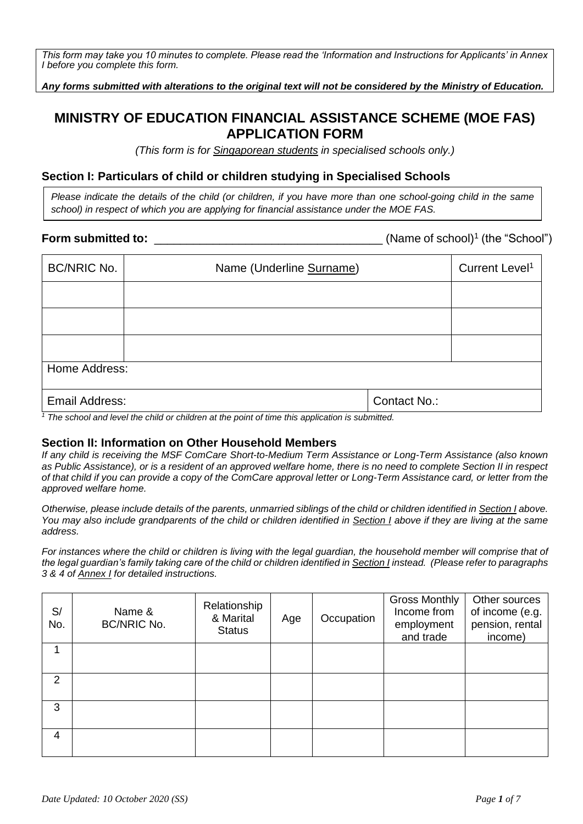*This form may take you 10 minutes to complete. Please read the 'Information and Instructions for Applicants' in Annex I before you complete this form.*

*Any forms submitted with alterations to the original text will not be considered by the Ministry of Education.*

# **MINISTRY OF EDUCATION FINANCIAL ASSISTANCE SCHEME (MOE FAS) APPLICATION FORM**

*(This form is for Singaporean students in specialised schools only.)*

### **Section I: Particulars of child or children studying in Specialised Schools**

*Please indicate the details of the child (or children, if you have more than one school-going child in the same school) in respect of which you are applying for financial assistance under the MOE FAS.*

#### **Form submitted to:**  $\blacksquare$

(Name of school)<sup>1</sup> (the "School")

| <b>BC/NRIC No.</b>                                                                                                              | Name (Underline Surname) | Current Level <sup>1</sup> |  |  |
|---------------------------------------------------------------------------------------------------------------------------------|--------------------------|----------------------------|--|--|
|                                                                                                                                 |                          |                            |  |  |
|                                                                                                                                 |                          |                            |  |  |
|                                                                                                                                 |                          |                            |  |  |
| Home Address:                                                                                                                   |                          |                            |  |  |
| Email Address:<br>170 - 190 - 190 - 191 - 191 - 191 - 192 - 192 - 193 - 194 - 195 - 196 - 197 - 198 - 199 - 199 - 199 - 199 - 1 | Contact No.:             |                            |  |  |

*<sup>1</sup> The school and level the child or children at the point of time this application is submitted.* 

#### **Section II: Information on Other Household Members**

*If any child is receiving the MSF ComCare Short-to-Medium Term Assistance or Long-Term Assistance (also known as Public Assistance), or is a resident of an approved welfare home, there is no need to complete Section II in respect of that child if you can provide a copy of the ComCare approval letter or Long-Term Assistance card, or letter from the approved welfare home.* 

*Otherwise, please include details of the parents, unmarried siblings of the child or children identified in Section I above. You may also include grandparents of the child or children identified in Section I above if they are living at the same address.*

*For instances where the child or children is living with the legal guardian, the household member will comprise that of the legal guardian's family taking care of the child or children identified in Section I instead. (Please refer to paragraphs 3 & 4 of Annex I for detailed instructions.* 

| S/<br>No. | Name &<br><b>BC/NRIC No.</b> | Relationship<br>& Marital<br><b>Status</b> | Age | Occupation | <b>Gross Monthly</b><br>Income from<br>employment<br>and trade | Other sources<br>of income (e.g.<br>pension, rental<br>income) |
|-----------|------------------------------|--------------------------------------------|-----|------------|----------------------------------------------------------------|----------------------------------------------------------------|
|           |                              |                                            |     |            |                                                                |                                                                |
| 2         |                              |                                            |     |            |                                                                |                                                                |
| 3         |                              |                                            |     |            |                                                                |                                                                |
| 4         |                              |                                            |     |            |                                                                |                                                                |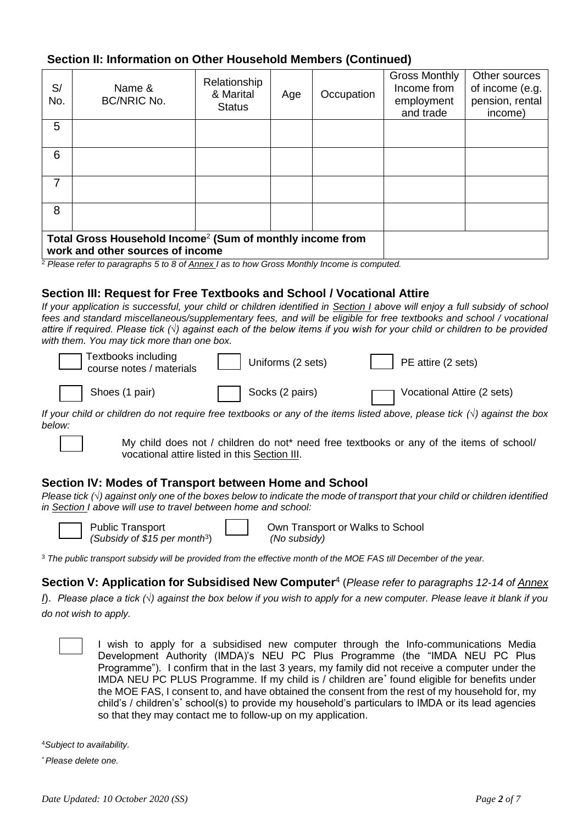# **Section II: Information on Other Household Members (Continued)**

| S/<br>No. | Name &<br><b>BC/NRIC No.</b>                                                                              | Relationship<br>& Marital<br><b>Status</b> | Age | Occupation | <b>Gross Monthly</b><br>Income from<br>employment<br>and trade | Other sources<br>of income (e.g.<br>pension, rental<br>income) |
|-----------|-----------------------------------------------------------------------------------------------------------|--------------------------------------------|-----|------------|----------------------------------------------------------------|----------------------------------------------------------------|
| 5         |                                                                                                           |                                            |     |            |                                                                |                                                                |
| 6         |                                                                                                           |                                            |     |            |                                                                |                                                                |
| 7         |                                                                                                           |                                            |     |            |                                                                |                                                                |
| 8         |                                                                                                           |                                            |     |            |                                                                |                                                                |
|           | Total Gross Household Income <sup>2</sup> (Sum of monthly income from<br>work and other sources of income |                                            |     |            |                                                                |                                                                |

<sup>2</sup> *Please refer to paragraphs 5 to 8 of Annex I as to how Gross Monthly Income is computed.* 

#### **Section III: Request for Free Textbooks and School / Vocational Attire**

*If your application is successful, your child or children identified in Section I above will enjoy a full subsidy of school fees and standard miscellaneous/supplementary fees, and will be eligible for free textbooks and school / vocational attire if required. Please tick (√) against each of the below items if you wish for your child or children to be provided with them. You may tick more than one box.*

| Textbooks including<br>course notes / materials | $\vert$ Uniforms (2 sets) | $\vert$ PE attire (2 sets)   |
|-------------------------------------------------|---------------------------|------------------------------|
| Shoes (1 pair)                                  | Socks (2 pairs)           | T Vocational Attire (2 sets) |

*If your child or children do not require free textbooks or any of the items listed above, please tick (√) against the box below:*

My child does not / children do not\* need free textbooks or any of the items of school/ vocational attire listed in this Section III.

#### **Section IV: Modes of Transport between Home and School**

*Please tick (√) against only one of the boxes below to indicate the mode of transport that your child or children identified in Section I above will use to travel between home and school:*



Public Transport *(Subsidy of \$15 per month*<sup>3</sup> ) Own Transport or Walks to School *(No subsidy)*

<sup>3</sup> *The public transport subsidy will be provided from the effective month of the MOE FAS till December of the year.* 

Section V: Application for Subsidised New Computer<sup>4</sup> (Please refer to paragraphs 12-14 of Annex *I*). *Please place a tick (√) against the box below if you wish to apply for a new computer. Please leave it blank if you* 

*do not wish to apply.*



I wish to apply for a subsidised new computer through the Info-communications Media Development Authority (IMDA)'s NEU PC Plus Programme (the "IMDA NEU PC Plus Programme"). I confirm that in the last 3 years, my family did not receive a computer under the IMDA NEU PC PLUS Programme. If my child is / children are*\** found eligible for benefits under the MOE FAS, I consent to, and have obtained the consent from the rest of my household for, my child's / children's*\** school(s) to provide my household's particulars to IMDA or its lead agencies so that they may contact me to follow-up on my application.

<sup>4</sup>*Subject to availability.*

*\* Please delete one.*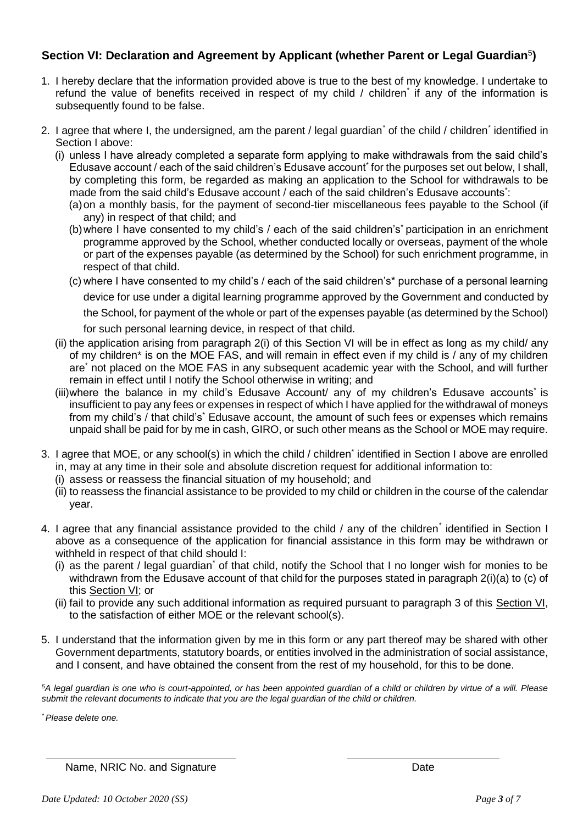# Section VI: Declaration and Agreement by Applicant (whether Parent or Legal Guardian<sup>5</sup>)

- 1. I hereby declare that the information provided above is true to the best of my knowledge. I undertake to refund the value of benefits received in respect of my child / children*\** if any of the information is subsequently found to be false.
- 2. I agree that where I, the undersigned, am the parent / legal guardian*\** of the child / children*\** identified in Section I above:
	- (i) unless I have already completed a separate form applying to make withdrawals from the said child's Edusave account / each of the said children's Edusave account<sup>\*</sup> for the purposes set out below, I shall, by completing this form, be regarded as making an application to the School for withdrawals to be made from the said child's Edusave account / each of the said children's Edusave accounts<sup>\*</sup>:
		- (a)on a monthly basis, for the payment of second-tier miscellaneous fees payable to the School (if any) in respect of that child; and
		- (b)where I have consented to my child's / each of the said children's\* participation in an enrichment programme approved by the School, whether conducted locally or overseas, payment of the whole or part of the expenses payable (as determined by the School) for such enrichment programme, in respect of that child.
		- (c) where I have consented to my child's / each of the said children's\* purchase of a personal learning device for use under a digital learning programme approved by the Government and conducted by the School, for payment of the whole or part of the expenses payable (as determined by the School) for such personal learning device, in respect of that child.
	- (ii) the application arising from paragraph 2(i) of this Section VI will be in effect as long as my child/ any of my children\* is on the MOE FAS, and will remain in effect even if my child is / any of my children are\* not placed on the MOE FAS in any subsequent academic year with the School, and will further remain in effect until I notify the School otherwise in writing; and
	- (iii)where the balance in my child's Edusave Account/ any of my children's Edusave accounts<sup>\*</sup> is insufficient to pay any fees or expenses in respect of which I have applied for the withdrawal of moneys from my child's / that child's\* Edusave account, the amount of such fees or expenses which remains unpaid shall be paid for by me in cash, GIRO, or such other means as the School or MOE may require.
- 3. I agree that MOE, or any school(s) in which the child / children<sup>\*</sup> identified in Section I above are enrolled in, may at any time in their sole and absolute discretion request for additional information to:
	- (i) assess or reassess the financial situation of my household; and
	- (ii) to reassess the financial assistance to be provided to my child or children in the course of the calendar year.
- 4. I agree that any financial assistance provided to the child / any of the children*\** identified in Section I above as a consequence of the application for financial assistance in this form may be withdrawn or withheld in respect of that child should I:
	- (i) as the parent / legal guardian*\** of that child, notify the School that I no longer wish for monies to be withdrawn from the Edusave account of that child for the purposes stated in paragraph 2(i)(a) to (c) of this Section VI; or
	- (ii) fail to provide any such additional information as required pursuant to paragraph 3 of this Section VI, to the satisfaction of either MOE or the relevant school(s).
- 5. I understand that the information given by me in this form or any part thereof may be shared with other Government departments, statutory boards, or entities involved in the administration of social assistance, and I consent, and have obtained the consent from the rest of my household, for this to be done.

*<sup>5</sup>A legal guardian is one who is court-appointed, or has been appointed guardian of a child or children by virtue of a will. Please submit the relevant documents to indicate that you are the legal guardian of the child or children.*

*\* Please delete one.*

Name, NRIC No. and Signature **Date** Date Date Date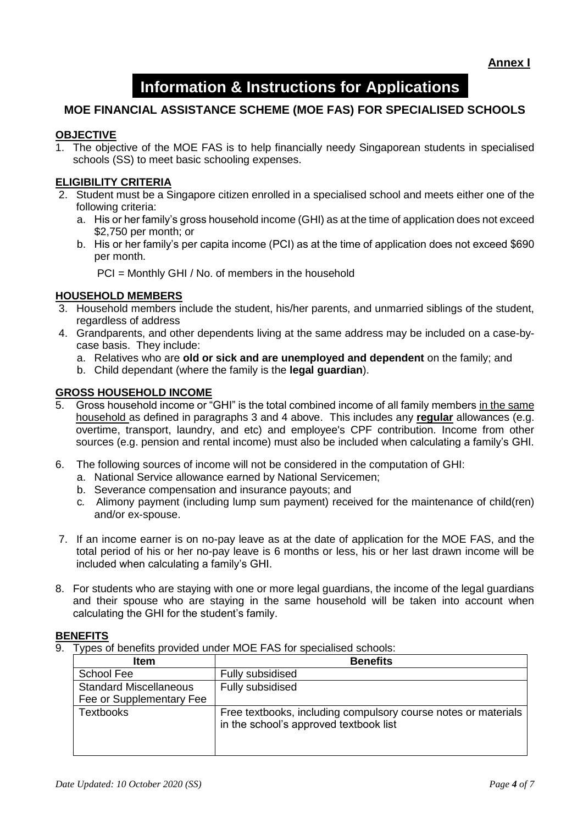**Annex I**

# **Information & Instructions for Applications**

# **MOE FINANCIAL ASSISTANCE SCHEME (MOE FAS) FOR SPECIALISED SCHOOLS**

#### **OBJECTIVE**

1. The objective of the MOE FAS is to help financially needy Singaporean students in specialised schools (SS) to meet basic schooling expenses.

#### **ELIGIBILITY CRITERIA**

- 2. Student must be a Singapore citizen enrolled in a specialised school and meets either one of the following criteria:
	- a. His or her family's gross household income (GHI) as at the time of application does not exceed \$2,750 per month; or
	- b. His or her family's per capita income (PCI) as at the time of application does not exceed \$690 per month.

PCI = Monthly GHI / No. of members in the household

#### **HOUSEHOLD MEMBERS**

- 3. Household members include the student, his/her parents, and unmarried siblings of the student, regardless of address
- 4. Grandparents, and other dependents living at the same address may be included on a case-bycase basis. They include:
	- a. Relatives who are **old or sick and are unemployed and dependent** on the family; and
	- b. Child dependant (where the family is the **legal guardian**).

#### **GROSS HOUSEHOLD INCOME**

- 5. Gross household income or "GHI" is the total combined income of all family members in the same household as defined in paragraphs 3 and 4 above. This includes any **regular** allowances (e.g. overtime, transport, laundry, and etc) and employee's CPF contribution. Income from other sources (e.g. pension and rental income) must also be included when calculating a family's GHI.
- 6. The following sources of income will not be considered in the computation of GHI:
	- a. National Service allowance earned by National Servicemen;
	- b. Severance compensation and insurance payouts; and
	- c*.* Alimony payment (including lump sum payment) received for the maintenance of child(ren) and/or ex-spouse.
- 7. If an income earner is on no-pay leave as at the date of application for the MOE FAS, and the total period of his or her no-pay leave is 6 months or less, his or her last drawn income will be included when calculating a family's GHI.
- 8. For students who are staying with one or more legal guardians, the income of the legal guardians and their spouse who are staying in the same household will be taken into account when calculating the GHI for the student's family.

#### **BENEFITS**

9. Types of benefits provided under MOE FAS for specialised schools:

| <b>Item</b>                   | <b>Benefits</b>                                                                                          |
|-------------------------------|----------------------------------------------------------------------------------------------------------|
| School Fee                    | Fully subsidised                                                                                         |
| <b>Standard Miscellaneous</b> | Fully subsidised                                                                                         |
| Fee or Supplementary Fee      |                                                                                                          |
| <b>Textbooks</b>              | Free textbooks, including compulsory course notes or materials<br>in the school's approved textbook list |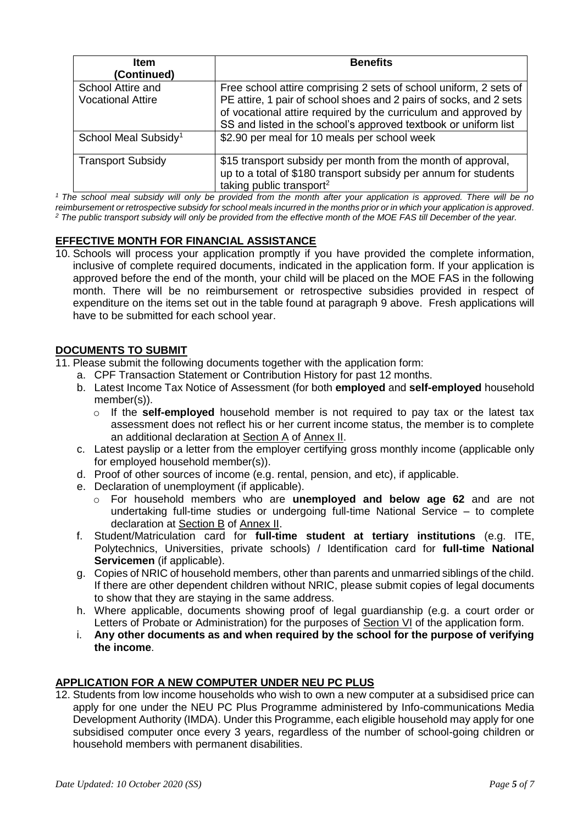| <b>Item</b>                                   | <b>Benefits</b>                                                                                                                                                                                                                                                               |  |  |
|-----------------------------------------------|-------------------------------------------------------------------------------------------------------------------------------------------------------------------------------------------------------------------------------------------------------------------------------|--|--|
| (Continued)                                   |                                                                                                                                                                                                                                                                               |  |  |
| School Attire and<br><b>Vocational Attire</b> | Free school attire comprising 2 sets of school uniform, 2 sets of<br>PE attire, 1 pair of school shoes and 2 pairs of socks, and 2 sets<br>of vocational attire required by the curriculum and approved by<br>SS and listed in the school's approved textbook or uniform list |  |  |
| School Meal Subsidy <sup>1</sup>              | \$2.90 per meal for 10 meals per school week                                                                                                                                                                                                                                  |  |  |
| <b>Transport Subsidy</b>                      | \$15 transport subsidy per month from the month of approval,<br>up to a total of \$180 transport subsidy per annum for students<br>taking public transport <sup>2</sup>                                                                                                       |  |  |

*<sup>1</sup> The school meal subsidy will only be provided from the month after your application is approved. There will be no reimbursement or retrospective subsidy for school meals incurred in the months prior or in which your application is approved. <sup>2</sup> The public transport subsidy will only be provided from the effective month of the MOE FAS till December of the year.*

# **EFFECTIVE MONTH FOR FINANCIAL ASSISTANCE**

10. Schools will process your application promptly if you have provided the complete information, inclusive of complete required documents, indicated in the application form. If your application is approved before the end of the month, your child will be placed on the MOE FAS in the following month. There will be no reimbursement or retrospective subsidies provided in respect of expenditure on the items set out in the table found at paragraph 9 above. Fresh applications will have to be submitted for each school year.

#### **DOCUMENTS TO SUBMIT**

- 11. Please submit the following documents together with the application form:
	- a. CPF Transaction Statement or Contribution History for past 12 months.
	- b. Latest Income Tax Notice of Assessment (for both **employed** and **self-employed** household member(s)).
		- o If the **self-employed** household member is not required to pay tax or the latest tax assessment does not reflect his or her current income status, the member is to complete an additional declaration at Section A of Annex II.
	- c. Latest payslip or a letter from the employer certifying gross monthly income (applicable only for employed household member(s)).
	- d. Proof of other sources of income (e.g. rental, pension, and etc), if applicable.
	- e. Declaration of unemployment (if applicable).
		- o For household members who are **unemployed and below age 62** and are not undertaking full-time studies or undergoing full-time National Service – to complete declaration at Section B of Annex II.
	- f. Student/Matriculation card for **full-time student at tertiary institutions** (e.g. ITE, Polytechnics, Universities, private schools) / Identification card for **full-time National Servicemen** (if applicable).
	- g. Copies of NRIC of household members, other than parents and unmarried siblings of the child. If there are other dependent children without NRIC, please submit copies of legal documents to show that they are staying in the same address.
	- h. Where applicable, documents showing proof of legal guardianship (e.g. a court order or Letters of Probate or Administration) for the purposes of Section VI of the application form.
	- i. **Any other documents as and when required by the school for the purpose of verifying the income**.

## **APPLICATION FOR A NEW COMPUTER UNDER NEU PC PLUS**

12. Students from low income households who wish to own a new computer at a subsidised price can apply for one under the NEU PC Plus Programme administered by Info-communications Media Development Authority (IMDA). Under this Programme, each eligible household may apply for one subsidised computer once every 3 years, regardless of the number of school-going children or household members with permanent disabilities.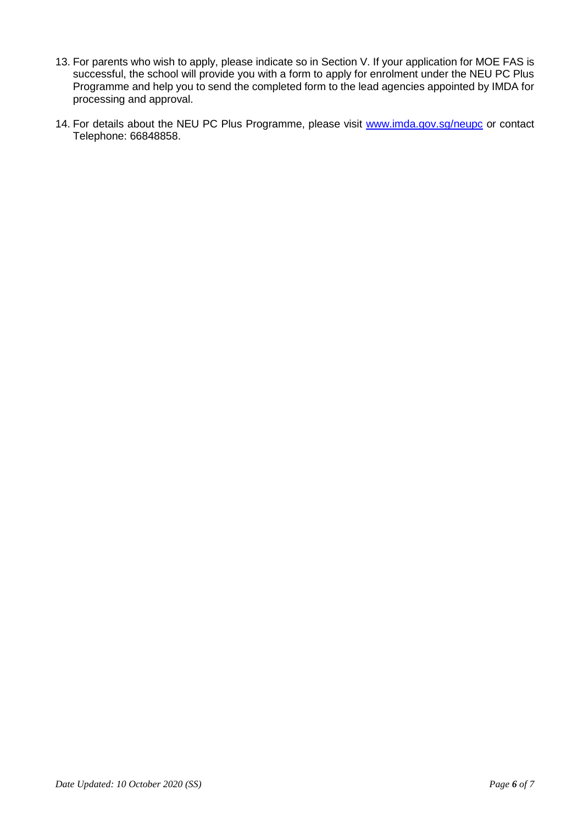- 13. For parents who wish to apply, please indicate so in Section V. If your application for MOE FAS is successful, the school will provide you with a form to apply for enrolment under the NEU PC Plus Programme and help you to send the completed form to the lead agencies appointed by IMDA for processing and approval.
- 14. For details about the NEU PC Plus Programme, please visit [www.imda.gov.sg/neupc](http://www.imda.gov.sg/neupc) or contact Telephone: 66848858.